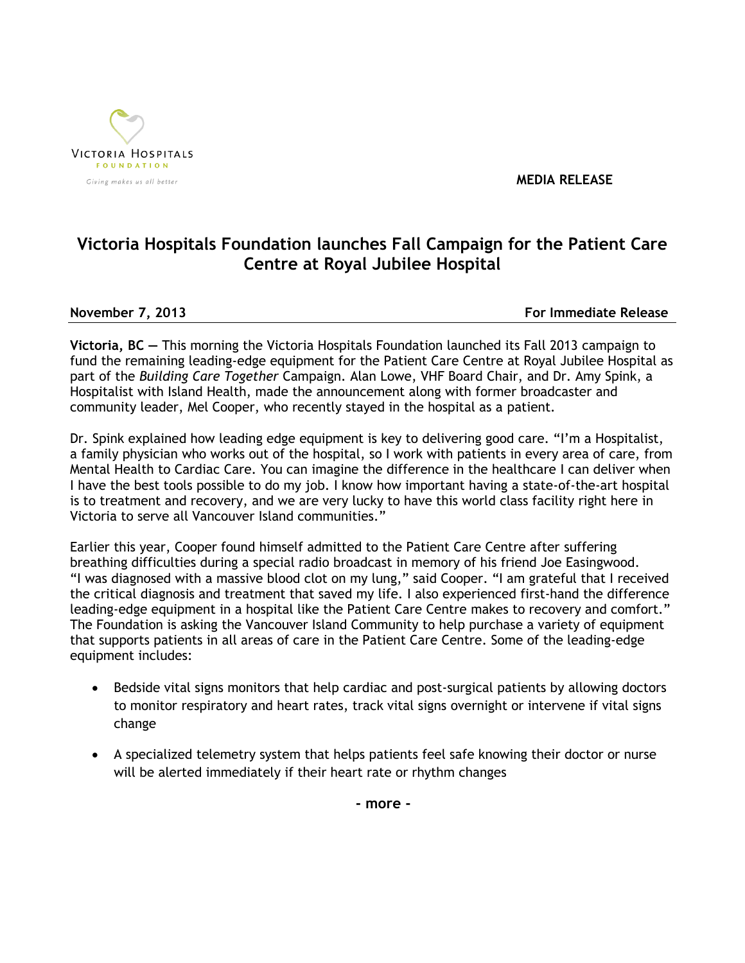

 **MEDIA RELEASE**

## **Victoria Hospitals Foundation launches Fall Campaign for the Patient Care Centre at Royal Jubilee Hospital**

**November 7, 2013 For Immediate Release**

**Victoria, BC —** This morning the Victoria Hospitals Foundation launched its Fall 2013 campaign to fund the remaining leading-edge equipment for the Patient Care Centre at Royal Jubilee Hospital as part of the *Building Care Together* Campaign. Alan Lowe, VHF Board Chair, and Dr. Amy Spink, a Hospitalist with Island Health, made the announcement along with former broadcaster and community leader, Mel Cooper, who recently stayed in the hospital as a patient.

Dr. Spink explained how leading edge equipment is key to delivering good care. "I'm a Hospitalist, a family physician who works out of the hospital, so I work with patients in every area of care, from Mental Health to Cardiac Care. You can imagine the difference in the healthcare I can deliver when I have the best tools possible to do my job. I know how important having a state-of-the-art hospital is to treatment and recovery, and we are very lucky to have this world class facility right here in Victoria to serve all Vancouver Island communities."

Earlier this year, Cooper found himself admitted to the Patient Care Centre after suffering breathing difficulties during a special radio broadcast in memory of his friend Joe Easingwood. "I was diagnosed with a massive blood clot on my lung," said Cooper. "I am grateful that I received the critical diagnosis and treatment that saved my life. I also experienced first-hand the difference leading-edge equipment in a hospital like the Patient Care Centre makes to recovery and comfort." The Foundation is asking the Vancouver Island Community to help purchase a variety of equipment that supports patients in all areas of care in the Patient Care Centre. Some of the leading-edge equipment includes:

- Bedside vital signs monitors that help cardiac and post-surgical patients by allowing doctors to monitor respiratory and heart rates, track vital signs overnight or intervene if vital signs change
- A specialized telemetry system that helps patients feel safe knowing their doctor or nurse will be alerted immediately if their heart rate or rhythm changes

**- more -**